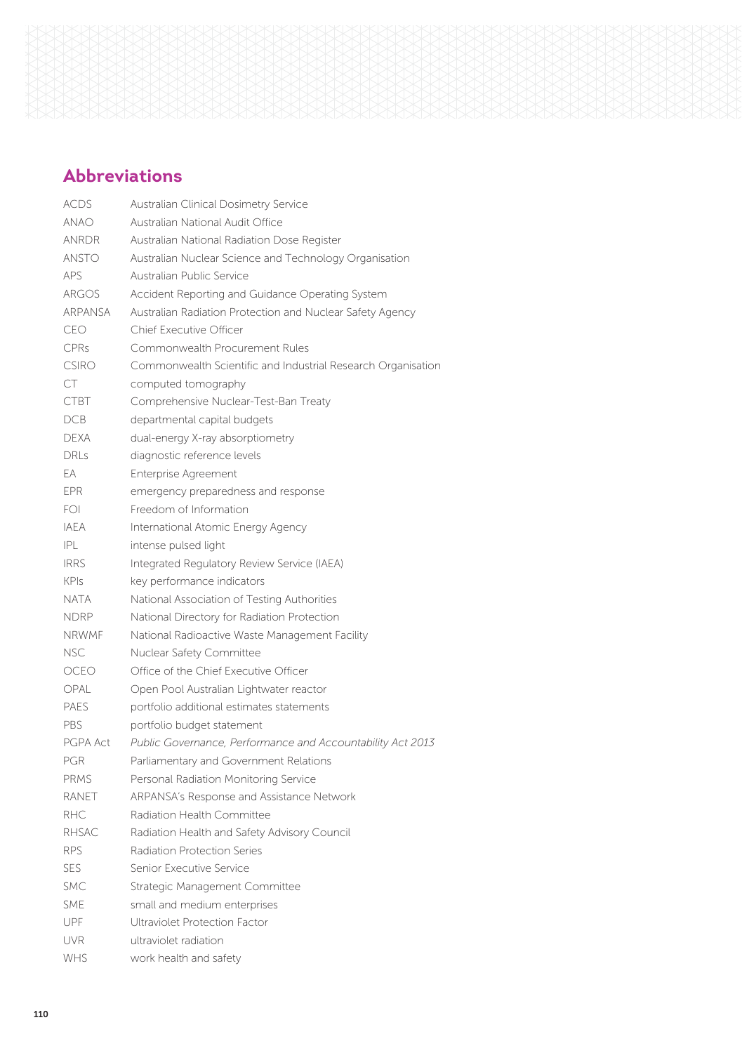

# **Abbreviations**

| <b>ACDS</b>    | Australian Clinical Dosimetry Service                        |
|----------------|--------------------------------------------------------------|
| <b>ANAO</b>    | Australian National Audit Office                             |
| <b>ANRDR</b>   | Australian National Radiation Dose Register                  |
| <b>ANSTO</b>   | Australian Nuclear Science and Technology Organisation       |
| <b>APS</b>     | Australian Public Service                                    |
| ARGOS          | Accident Reporting and Guidance Operating System             |
| <b>ARPANSA</b> | Australian Radiation Protection and Nuclear Safety Agency    |
| CEO            | Chief Executive Officer                                      |
| CPRs           | Commonwealth Procurement Rules                               |
| CSIRO          | Commonwealth Scientific and Industrial Research Organisation |
| CT             | computed tomography                                          |
| <b>CTBT</b>    | Comprehensive Nuclear-Test-Ban Treaty                        |
| DCB            | departmental capital budgets                                 |
| <b>DEXA</b>    | dual-energy X-ray absorptiometry                             |
| DRI s          | diagnostic reference levels                                  |
| EA             | <b>Enterprise Agreement</b>                                  |
| <b>EPR</b>     | emergency preparedness and response                          |
| FOL            | Freedom of Information                                       |
| <b>IAFA</b>    | International Atomic Energy Agency                           |
| P              | intense pulsed light                                         |
| <b>IRRS</b>    | Integrated Regulatory Review Service (IAEA)                  |
| <b>KPIs</b>    | key performance indicators                                   |
| <b>NATA</b>    | National Association of Testing Authorities                  |
| <b>NDRP</b>    | National Directory for Radiation Protection                  |
| <b>NRWMF</b>   | National Radioactive Waste Management Facility               |
| <b>NSC</b>     | Nuclear Safety Committee                                     |
| OCEO           | Office of the Chief Executive Officer                        |
| OPAL           | Open Pool Australian Lightwater reactor                      |
| PAFS           | portfolio additional estimates statements                    |
| PBS            | portfolio budget statement                                   |
| PGPA Act       | Public Governance, Performance and Accountability Act 2013   |
| PGR            | Parliamentary and Government Relations                       |
| <b>PRMS</b>    | Personal Radiation Monitoring Service                        |
| <b>RANFT</b>   | ARPANSA's Response and Assistance Network                    |
| RHC.           | Radiation Health Committee                                   |
| <b>RHSAC</b>   | Radiation Health and Safety Advisory Council                 |
| <b>RPS</b>     | Radiation Protection Series                                  |
| SES.           | Senior Executive Service                                     |
| SMC.           | Strategic Management Committee                               |
| <b>SMF</b>     | small and medium enterprises                                 |
| <b>UPF</b>     | Ultraviolet Protection Factor                                |
| <b>UVR</b>     | ultraviolet radiation                                        |
| <b>WHS</b>     | work health and safety                                       |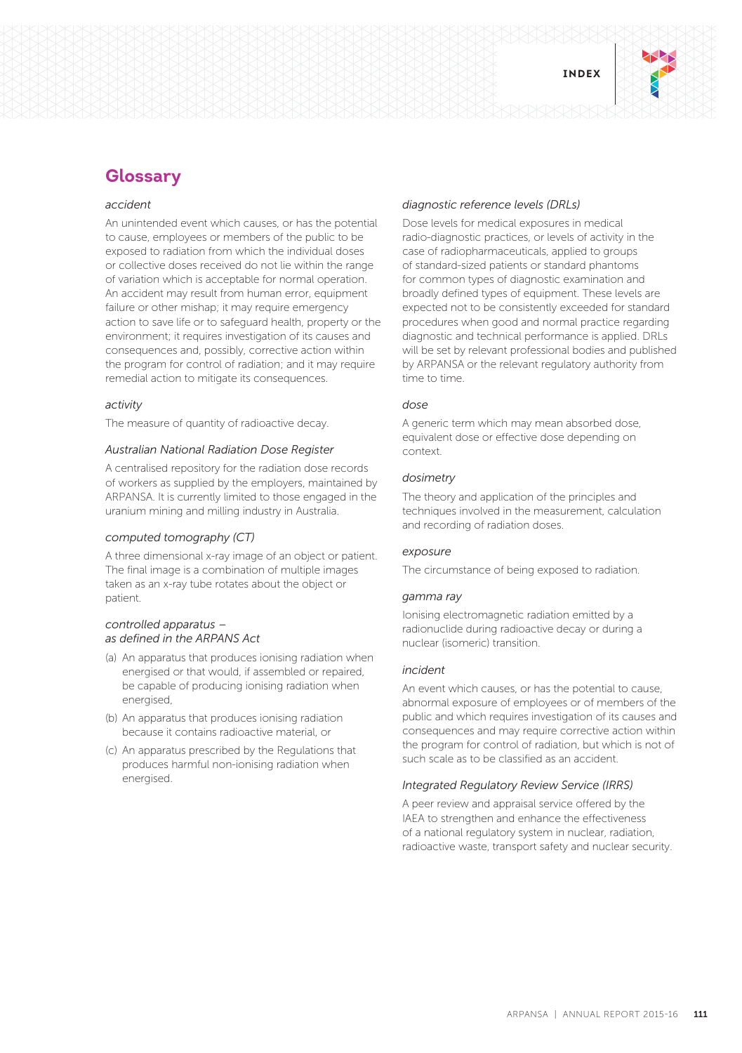

# **Glossary**

# *accident*

An unintended event which causes, or has the potential to cause, employees or members of the public to be exposed to radiation from which the individual doses or collective doses received do not lie within the range of variation which is acceptable for normal operation. An accident may result from human error, equipment failure or other mishap; it may require emergency action to save life or to safeguard health, property or the environment; it requires investigation of its causes and consequences and, possibly, corrective action within the program for control of radiation; and it may require remedial action to mitigate its consequences.

#### *activity*

The measure of quantity of radioactive decay.

# *Australian National Radiation Dose Register*

A centralised repository for the radiation dose records of workers as supplied by the employers, maintained by ARPANSA. It is currently limited to those engaged in the uranium mining and milling industry in Australia.

# *computed tomography (CT)*

A three dimensional x-ray image of an object or patient. The final image is a combination of multiple images taken as an x-ray tube rotates about the object or patient.

# *controlled apparatus – as defined in the ARPANS Act*

- (a) An apparatus that produces ionising radiation when energised or that would, if assembled or repaired, be capable of producing ionising radiation when energised,
- (b) An apparatus that produces ionising radiation because it contains radioactive material, or
- (c) An apparatus prescribed by the Regulations that produces harmful non-ionising radiation when energised.

# *diagnostic reference levels (DRLs)*

Dose levels for medical exposures in medical radio-diagnostic practices, or levels of activity in the case of radiopharmaceuticals, applied to groups of standard-sized patients or standard phantoms for common types of diagnostic examination and broadly defined types of equipment. These levels are expected not to be consistently exceeded for standard procedures when good and normal practice regarding diagnostic and technical performance is applied. DRLs will be set by relevant professional bodies and published by ARPANSA or the relevant regulatory authority from time to time.

# *dose*

A generic term which may mean absorbed dose, equivalent dose or effective dose depending on context.

# *dosimetry*

The theory and application of the principles and techniques involved in the measurement, calculation and recording of radiation doses.

# *exposure*

The circumstance of being exposed to radiation.

# *gamma ray*

Ionising electromagnetic radiation emitted by a radionuclide during radioactive decay or during a nuclear (isomeric) transition.

# *incident*

An event which causes, or has the potential to cause, abnormal exposure of employees or of members of the public and which requires investigation of its causes and consequences and may require corrective action within the program for control of radiation, but which is not of such scale as to be classified as an accident.

# *Integrated Regulatory Review Service (IRRS)*

A peer review and appraisal service offered by the IAEA to strengthen and enhance the effectiveness of a national regulatory system in nuclear, radiation, radioactive waste, transport safety and nuclear security.